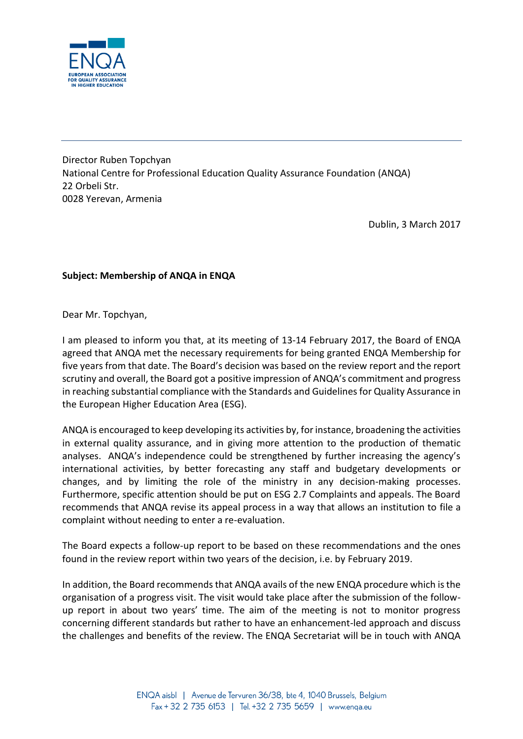

Director Ruben Topchyan National Centre for Professional Education Quality Assurance Foundation (ANQA) 22 Orbeli Str. 0028 Yerevan, Armenia

Dublin, 3 March 2017

## **Subject: Membership of ANQA in ENQA**

Dear Mr. Topchyan,

I am pleased to inform you that, at its meeting of 13-14 February 2017, the Board of ENQA agreed that ANQA met the necessary requirements for being granted ENQA Membership for five years from that date. The Board's decision was based on the review report and the report scrutiny and overall, the Board got a positive impression of ANQA's commitment and progress in reaching substantial compliance with the Standards and Guidelines for Quality Assurance in the European Higher Education Area (ESG).

ANQA is encouraged to keep developing its activities by, for instance, broadening the activities in external quality assurance, and in giving more attention to the production of thematic analyses. ANQA's independence could be strengthened by further increasing the agency's international activities, by better forecasting any staff and budgetary developments or changes, and by limiting the role of the ministry in any decision-making processes. Furthermore, specific attention should be put on ESG 2.7 Complaints and appeals. The Board recommends that ANQA revise its appeal process in a way that allows an institution to file a complaint without needing to enter a re-evaluation.

The Board expects a follow-up report to be based on these recommendations and the ones found in the review report within two years of the decision, i.e. by February 2019.

In addition, the Board recommends that ANQA avails of the new ENQA procedure which is the organisation of a progress visit. The visit would take place after the submission of the followup report in about two years' time. The aim of the meeting is not to monitor progress concerning different standards but rather to have an enhancement-led approach and discuss the challenges and benefits of the review. The ENQA Secretariat will be in touch with ANQA